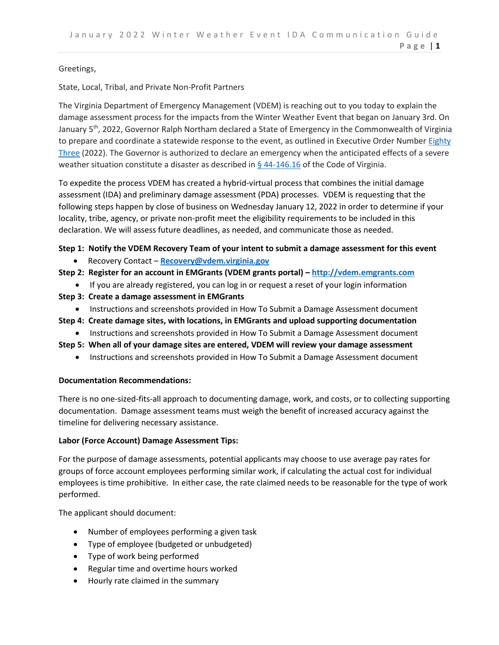## Greetings,

## State, Local, Tribal, and Private Non-Profit Partners

The Virginia Department of Emergency Management (VDEM) is reaching out to you today to explain the damage assessment process for the impacts from the Winter Weather Event that began on January 3rd. On January 5<sup>th</sup>, 2022, Governor Ralph Northam declared a State of Emergency in the Commonwealth of Virginia to prepare and coordinate a statewide response to the event, as outlined in Executive Order Numbe[r Eighty](https://www.governor.virginia.gov/media/governorvirginiagov/executive-actions/EO-83-Declaration-of-a-State-of-Emergency-Due-to-Severe-Winter-Weather.pdf)  [Three](https://www.governor.virginia.gov/media/governorvirginiagov/executive-actions/EO-83-Declaration-of-a-State-of-Emergency-Due-to-Severe-Winter-Weather.pdf) (2022). The Governor is authorized to declare an emergency when the anticipated effects of a severe weather situation constitute a disaster as described in  $\S$  44-146.16 of the Code of Virginia.

To expedite the process VDEM has created a hybrid-virtual process that combines the initial damage assessment (IDA) and preliminary damage assessment (PDA) processes. VDEM is requesting that the following steps happen by close of business on Wednesday January 12, 2022 in order to determine if your locality, tribe, agency, or private non-profit meet the eligibility requirements to be included in this declaration. We will assess future deadlines, as needed, and communicate those as needed.

# **Step 1: Notify the VDEM Recovery Team of your intent to submit a damage assessment for this event**

- Recovery Contact **[Recovery@vdem.virginia.gov](mailto:Recovery@vdem.virginia.gov)**
- **Step 2: Register for an account in EMGrants (VDEM grants portal) – [http://vdem.emgrants.com](http://vdem.emgrants.com/)**
	- If you are already registered, you can log in or request a reset of your login information
- **Step 3: Create a damage assessment in EMGrants**
	- Instructions and screenshots provided in How To Submit a Damage Assessment document
- **Step 4: Create damage sites, with locations, in EMGrants and upload supporting documentation**
	- Instructions and screenshots provided in How To Submit a Damage Assessment document
- **Step 5: When all of your damage sites are entered, VDEM will review your damage assessment**
	- Instructions and screenshots provided in How To Submit a Damage Assessment document

## **Documentation Recommendations:**

There is no one-sized-fits-all approach to documenting damage, work, and costs, or to collecting supporting documentation. Damage assessment teams must weigh the benefit of increased accuracy against the timeline for delivering necessary assistance.

## **Labor (Force Account) Damage Assessment Tips:**

For the purpose of damage assessments, potential applicants may choose to use average pay rates for groups of force account employees performing similar work, if calculating the actual cost for individual employees is time prohibitive. In either case, the rate claimed needs to be reasonable for the type of work performed.

The applicant should document:

- Number of employees performing a given task
- Type of employee (budgeted or unbudgeted)
- Type of work being performed
- Regular time and overtime hours worked
- Hourly rate claimed in the summary